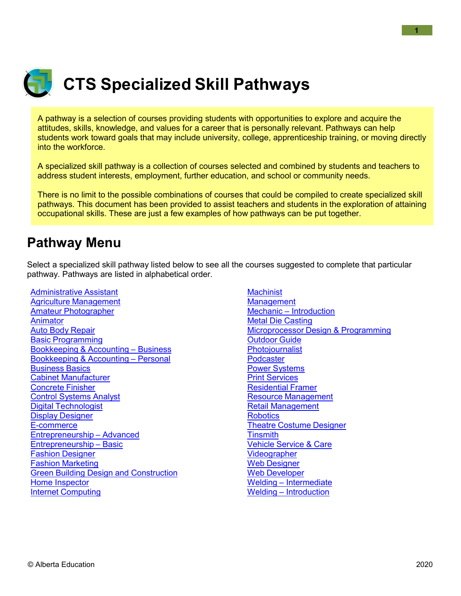

# **CTS Specialized Skill Pathways**

A pathway is a selection of courses providing students with opportunities to explore and acquire the attitudes, skills, knowledge, and values for a career that is personally relevant. Pathways can help students work toward goals that may include university, college, apprenticeship training, or moving directly into the workforce.

A specialized skill pathway is a collection of courses selected and combined by students and teachers to address student interests, employment, further education, and school or community needs.

There is no limit to the possible combinations of courses that could be compiled to create specialized skill pathways. This document has been provided to assist teachers and students in the exploration of attaining occupational skills. These are just a few examples of how pathways can be put together.

## <span id="page-0-0"></span>**Pathway Menu**

Select a specialized skill pathway listed below to see all the courses suggested to complete that particular pathway. Pathways are listed in alphabetical order.

[Administrative](#page-1-0) Assistant Agriculture [Management](#page-1-1) Amateur [Photographer](#page-1-2) [Animator](#page-1-3) Auto Body [Repair](#page-1-4) Basic [Programming](#page-1-5) [Bookkeeping](#page-2-0) & Accounting – Business [Bookkeeping](#page-2-1) & Accounting – Personal [Business](#page-2-2) Basics Cabinet [Manufacturer](#page-2-3) [Concrete](#page-2-4) Finisher Control [Systems](#page-3-0) Analyst Digital [Technologist](#page-3-1) Display [Designer](#page-3-2) [E-commerce](#page-3-3) [Entrepreneurship](#page-3-4) – Advanced [Entrepreneurship](#page-4-0) – Basic Fashion [Designer](#page-4-1) Fashion [Marketing](#page-4-2) Green Building Design and [Construction](#page-4-3) [Home Inspector](#page-5-0) Internet [Computing](#page-5-1)

**[Machinist](#page-5-2) [Management](#page-5-3)** Mechanic – [Introduction](#page-5-4) Metal Die [Casting](#page-6-0) [Microprocessor](#page-6-1) Design & Programming [Outdoor](#page-6-2) Guide **Photoiournalist [Podcaster](#page-6-4)** Power [Systems](#page-7-0) Print [Services](#page-7-1) [Residential](#page-7-2) Framer Resource [Management](#page-7-3) Retail [Management](#page-7-4) **[Robotics](#page-8-0)** Theatre [Costume](#page-8-1) Designer **[Tinsmith](#page-8-2)** Vehicle [Service](#page-8-3) & Care **[Videographer](#page-8-4)** Web [Designer](#page-9-0) Web [Developer](#page-9-1) Welding – [Intermediate](#page-9-2) Welding – [Introduction](#page-9-3)

**1**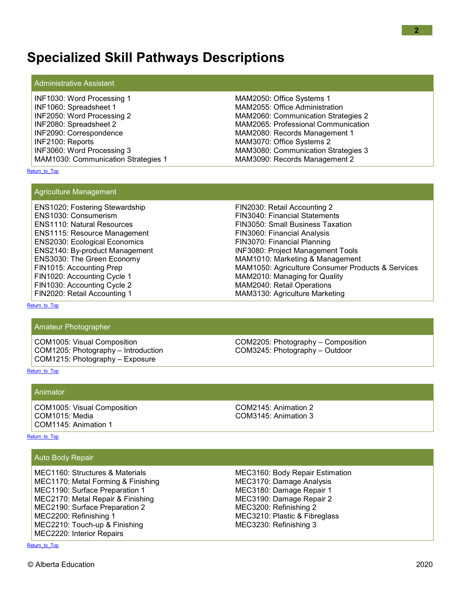## **Specialized Skill Pathways Descriptions**

#### Administrative Assistant

| INF1030: Word Processing 1          | MAM2050: Office Systems 1           |
|-------------------------------------|-------------------------------------|
| INF1060: Spreadsheet 1              | MAM2055: Office Administration      |
| INF2050: Word Processing 2          | MAM2060: Communication Strategies 2 |
| INF2080: Spreadsheet 2              | MAM2065: Professional Communication |
| INF2090: Correspondence             | MAM2080: Records Management 1       |
| INF2100: Reports                    | MAM3070: Office Systems 2           |
| INF3060: Word Processing 3          | MAM3080: Communication Strategies 3 |
| MAM1030: Communication Strategies 1 | MAM3090: Records Management 2       |

<span id="page-1-1"></span>[Return\\_to\\_Top](#page-0-0)

#### Agriculture Management

ENS1020: Fostering Stewardship ENS1030: Consumerism ENS1110: Natural Resources ENS1115: Resource Management ENS2030: Ecological Economics ENS2140: By-product Management ENS3030: The Green Economy FIN1015: Accounting Prep FIN1020: Accounting Cycle 1 FIN1030: Accounting Cycle 2 FIN2020: Retail Accounting 1

FIN2030: Retail Accounting 2 FIN3040: Financial Statements FIN3050: Small Business Taxation FIN3060: Financial Analysis FIN3070: Financial Planning INF3080: Project Management Tools MAM1010: Marketing & Management MAM1050: Agriculture Consumer Products & Services MAM2010: Managing for Quality MAM2040: Retail Operations MAM3130: Agriculture Marketing

<span id="page-1-2"></span>[Return\\_to\\_Top](#page-0-0)

#### Amateur Photographer

COM1005: Visual Composition COM1205: Photography – Introduction COM1215: Photography – Exposure

COM2205: Photography – Composition COM3245: Photography – Outdoor

#### <span id="page-1-3"></span>[Return\\_to\\_Top](#page-0-0)

### Animator

COM1005: Visual Composition COM1015: Media COM1145: Animation 1

COM2145: Animation 2 COM3145: Animation 3

[Return\\_to\\_Top](#page-0-0)

#### <span id="page-1-4"></span>Auto Body Repair

<span id="page-1-5"></span>MEC1160: Structures & Materials MEC1170: Metal Forming & Finishing MEC1190: Surface Preparation 1 MEC2170: Metal Repair & Finishing MEC2190: Surface Preparation 2 MEC2200: Refinishing 1 MEC2210: Touch-up & Finishing MEC2220: Interior Repairs

MEC3160: Body Repair Estimation MEC3170: Damage Analysis MEC3180: Damage Repair 1 MEC3190: Damage Repair 2 MEC3200: Refinishing 2 MEC3210: Plastic & Fibreglass MEC3230: Refinishing 3

<span id="page-1-0"></span>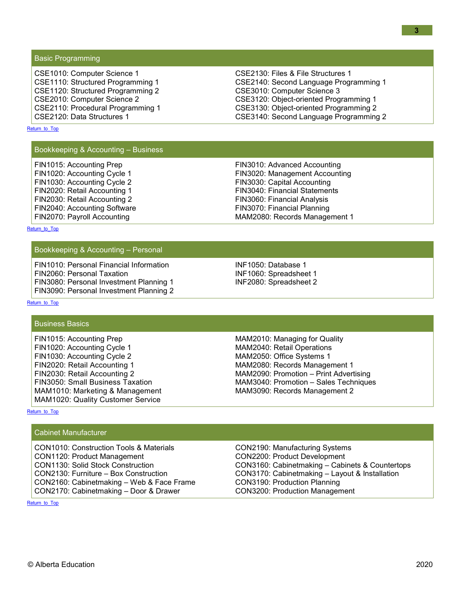Basic Programming

CSE1010: Computer Science 1 CSE1110: Structured Programming 1 CSE1120: Structured Programming 2 CSE2010: Computer Science 2 CSE2110: Procedural Programming 1 CSE2120: Data Structures 1

CSE2130: Files & File Structures 1 CSE2140: Second Language Programming 1 CSE3010: Computer Science 3 CSE3120: Object-oriented Programming 1 CSE3130: Object-oriented Programming 2 CSE3140: Second Language Programming 2

#### <span id="page-2-0"></span>[Return\\_to\\_Top](#page-0-0)

#### Bookkeeping & Accounting – Business

FIN1015: Accounting Prep FIN1020: Accounting Cycle 1 FIN1030: Accounting Cycle 2 FIN2020: Retail Accounting 1 FIN2030: Retail Accounting 2 FIN2040: Accounting Software FIN2070: Payroll Accounting

FIN3010: Advanced Accounting FIN3020: Management Accounting FIN3030: Capital Accounting FIN3040: Financial Statements FIN3060: Financial Analysis FIN3070: Financial Planning MAM2080: Records Management 1

<span id="page-2-1"></span>[Return\\_to\\_Top](#page-0-0)

#### Bookkeeping & Accounting – Personal

FIN1010: Personal Financial Information FIN2060: Personal Taxation FIN3080: Personal Investment Planning 1 FIN3090: Personal Investment Planning 2 INF1050: Database 1 INF1060: Spreadsheet 1 INF2080: Spreadsheet 2

#### [Return\\_to\\_Top](#page-0-0)

#### <span id="page-2-2"></span>Business Basics

FIN1015: Accounting Prep FIN1020: Accounting Cycle 1 FIN1030: Accounting Cycle 2 FIN2020: Retail Accounting 1 FIN2030: Retail Accounting 2 FIN3050: Small Business Taxation MAM1010: Marketing & Management MAM1020: Quality Customer Service

MAM2010: Managing for Quality MAM2040: Retail Operations MAM2050: Office Systems 1 MAM2080: Records Management 1 MAM2090: Promotion – Print Advertising MAM3040: Promotion – Sales Techniques MAM3090: Records Management 2

CON2190: Manufacturing Systems CON2200: Product Development

CON3190: Production Planning CON3200: Production Management

CON3160: Cabinetmaking – Cabinets & Countertops CON3170: Cabinetmaking – Layout & Installation

#### <span id="page-2-3"></span>[Return\\_to\\_Top](#page-0-0)

#### Cabinet Manufacturer

<span id="page-2-4"></span>CON1010: Construction Tools & Materials CON1120: Product Management CON1130: Solid Stock Construction CON2130: Furniture – Box Construction CON2160: Cabinetmaking – Web & Face Frame CON2170: Cabinetmaking – Door & Drawer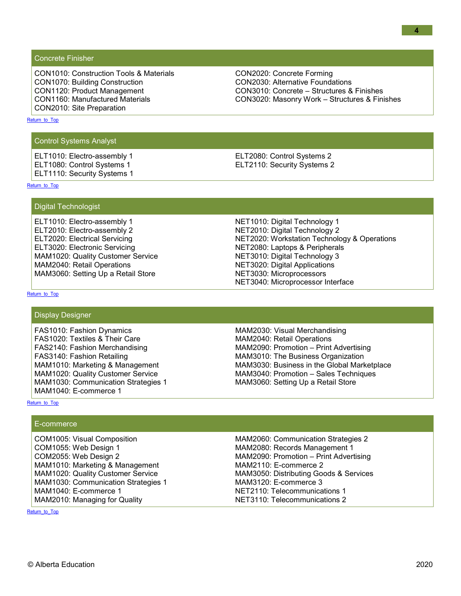Concrete Finisher

CON1010: Construction Tools & Materials CON1070: Building Construction CON1120: Product Management CON1160: Manufactured Materials CON2010: Site Preparation

CON2020: Concrete Forming CON2030: Alternative Foundations CON3010: Concrete – Structures & Finishes CON3020: Masonry Work – Structures & Finishes

#### <span id="page-3-0"></span>[Return\\_to\\_Top](#page-0-0)

Control Systems Analyst

ELT1010: Electro-assembly 1 ELT1080: Control Systems 1 ELT1110: Security Systems 1 ELT2080: Control Systems 2 ELT2110: Security Systems 2

<span id="page-3-1"></span>[Return\\_to\\_Top](#page-0-0)

Digital Technologist

ELT1010: Electro-assembly 1 ELT2010: Electro-assembly 2 ELT2020: Electrical Servicing ELT3020: Electronic Servicing MAM1020: Quality Customer Service MAM2040: Retail Operations MAM3060: Setting Up a Retail Store

NET1010: Digital Technology 1 NET2010: Digital Technology 2 NET2020: Workstation Technology & Operations NET2080: Laptops & Peripherals NET3010: Digital Technology 3 NET3020: Digital Applications NET3030: Microprocessors NET3040: Microprocessor Interface

[Return\\_to\\_Top](#page-0-0)

#### <span id="page-3-2"></span>Display Designer

FAS1010: Fashion Dynamics FAS1020: Textiles & Their Care FAS2140: Fashion Merchandising FAS3140: Fashion Retailing MAM1010: Marketing & Management MAM1020: Quality Customer Service MAM1030: Communication Strategies 1 MAM1040: E-commerce 1

MAM2030: Visual Merchandising MAM2040: Retail Operations MAM2090: Promotion – Print Advertising MAM3010: The Business Organization MAM3030: Business in the Global Marketplace MAM3040: Promotion – Sales Techniques MAM3060: Setting Up a Retail Store

#### <span id="page-3-3"></span>[Return\\_to\\_Top](#page-0-0)

#### E-commerce

<span id="page-3-4"></span>COM1005: Visual Composition COM1055: Web Design 1 COM2055: Web Design 2 MAM1010: Marketing & Management MAM1020: Quality Customer Service MAM1030: Communication Strategies 1 MAM1040: E-commerce 1 MAM2010: Managing for Quality

MAM2060: Communication Strategies 2 MAM2080: Records Management 1 MAM2090: Promotion – Print Advertising MAM2110: E-commerce 2 MAM3050: Distributing Goods & Services MAM3120: E-commerce 3 NET2110: Telecommunications 1 NET3110: Telecommunications 2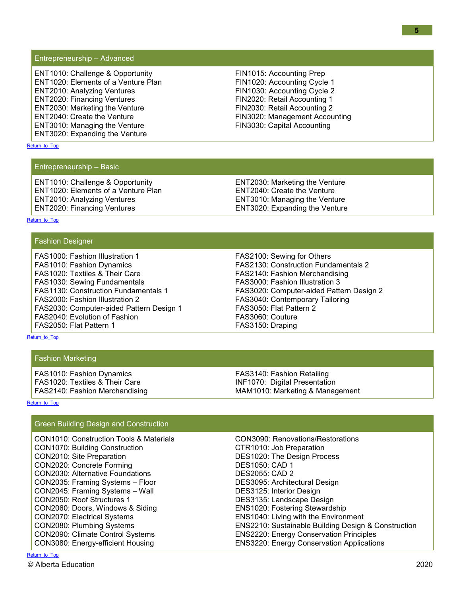[Return\\_to\\_Top](#page-0-0)

#### Entrepreneurship – Advanced

ENT1010: Challenge & Opportunity ENT1020: Elements of a Venture Plan ENT2010: Analyzing Ventures ENT2020: Financing Ventures ENT2030: Marketing the Venture ENT2040: Create the Venture ENT3010: Managing the Venture ENT3020: Expanding the Venture

FIN1015: Accounting Prep FIN1020: Accounting Cycle 1 FIN1030: Accounting Cycle 2 FIN2020: Retail Accounting 1 FIN2030: Retail Accounting 2 FIN3020: Management Accounting FIN3030: Capital Accounting

## <span id="page-4-0"></span>[Return\\_to\\_Top](#page-0-0)

#### Entrepreneurship – Basic

ENT1010: Challenge & Opportunity ENT1020: Elements of a Venture Plan ENT2010: Analyzing Ventures ENT2020: Financing Ventures

ENT2030: Marketing the Venture ENT2040: Create the Venture ENT3010: Managing the Venture ENT3020: Expanding the Venture

#### <span id="page-4-1"></span>[Return\\_to\\_Top](#page-0-0)

#### Fashion Designer

FAS1000: Fashion Illustration 1 FAS1010: Fashion Dynamics FAS1020: Textiles & Their Care FAS1030: Sewing Fundamentals FAS1130: Construction Fundamentals 1 FAS2000: Fashion Illustration 2 FAS2030: Computer-aided Pattern Design 1 FAS2040: Evolution of Fashion FAS2050: Flat Pattern 1

FAS2100: Sewing for Others FAS2130: Construction Fundamentals 2 FAS2140: Fashion Merchandising FAS3000: Fashion Illustration 3 FAS3020: Computer-aided Pattern Design 2 FAS3040: Contemporary Tailoring FAS3050: Flat Pattern 2 FAS3060: Couture FAS3150: Draping

<span id="page-4-2"></span>[Return\\_to\\_Top](#page-0-0)

#### Fashion Marketing

FAS1010: Fashion Dynamics FAS1020: Textiles & Their Care FAS2140: Fashion Merchandising FAS3140: Fashion Retailing INF1070: Digital Presentation MAM1010: Marketing & Management

#### <span id="page-4-3"></span>[Return\\_to\\_Top](#page-0-0)

#### Green Building Design and Construction

| <b>CON1010: Construction Tools &amp; Materials</b> |
|----------------------------------------------------|
| <b>CON1070: Building Construction</b>              |
| CON2010: Site Preparation                          |
| CON2020: Concrete Forming                          |
| <b>CON2030: Alternative Foundations</b>            |
| CON2035: Framing Systems - Floor                   |
| CON2045: Framing Systems - Wall                    |
| CON2050: Roof Structures 1                         |
| CON2060: Doors, Windows & Siding                   |
| CON2070: Electrical Systems                        |
| CON2080: Plumbing Systems                          |
| CON2090: Climate Control Systems                   |
| CON3080: Energy-efficient Housing                  |
|                                                    |

CON3090: Renovations/Restorations CTR1010: Job Preparation DES1020: The Design Process DES1050: CAD 1 DES2055: CAD 2 DES3095: Architectural Design DES3125: Interior Design DES3135: Landscape Design ENS1020: Fostering Stewardship ENS1040: Living with the Environment ENS2210: Sustainable Building Design & Construction ENS2220: Energy Conservation Principles ENS3220: Energy Conservation Applications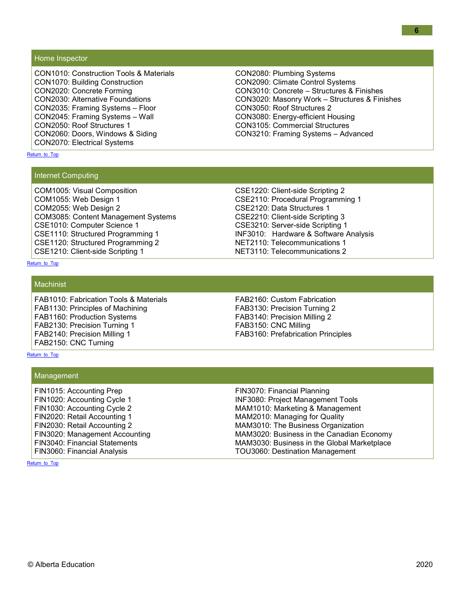#### <span id="page-5-0"></span>Home Inspector

CON1010: Construction Tools & Materials CON1070: Building Construction CON2020: Concrete Forming CON2030: Alternative Foundations CON2035: Framing Systems – Floor CON2045: Framing Systems – Wall CON2050: Roof Structures 1 CON2060: Doors, Windows & Siding CON2070: Electrical Systems

CON2080: Plumbing Systems CON2090: Climate Control Systems CON3010: Concrete – Structures & Finishes CON3020: Masonry Work – Structures & Finishes CON3050: Roof Structures 2 CON3080: Energy-efficient Housing CON3105: Commercial Structures CON3210: Framing Systems – Advanced

#### <span id="page-5-1"></span>[Return\\_to\\_Top](#page-0-0)

#### Internet Computing

COM1005: Visual Composition COM1055: Web Design 1 COM2055: Web Design 2 COM3085: Content Management Systems CSE1010: Computer Science 1 CSE1110: Structured Programming 1 CSE1120: Structured Programming 2 CSE1210: Client-side Scripting 1

CSE1220: Client-side Scripting 2 CSE2110: Procedural Programming 1 CSE2120: Data Structures 1 CSE2210: Client-side Scripting 3 CSE3210: Server-side Scripting 1 INF3010: Hardware & Software Analysis NET2110: Telecommunications 1 NET3110: Telecommunications 2

<span id="page-5-2"></span>[Return\\_to\\_Top](#page-0-0)

#### **Machinist**

FAB1010: Fabrication Tools & Materials FAB1130: Principles of Machining FAB1160: Production Systems FAB2130: Precision Turning 1 FAB2140: Precision Milling 1 FAB2150: CNC Turning

FAB2160: Custom Fabrication FAB3130: Precision Turning 2 FAB3140: Precision Milling 2 FAB3150: CNC Milling FAB3160: Prefabrication Principles

#### <span id="page-5-3"></span>[Return\\_to\\_Top](#page-0-0)

| Management |
|------------|
|            |

<span id="page-5-4"></span>FIN1015: Accounting Prep FIN1020: Accounting Cycle 1 FIN1030: Accounting Cycle 2 FIN2020: Retail Accounting 1 FIN2030: Retail Accounting 2 FIN3020: Management Accounting FIN3040: Financial Statements FIN3060: Financial Analysis

FIN3070: Financial Planning INF3080: Project Management Tools MAM1010: Marketing & Management MAM2010: Managing for Quality MAM3010: The Business Organization MAM3020: Business in the Canadian Economy MAM3030: Business in the Global Marketplace TOU3060: Destination Management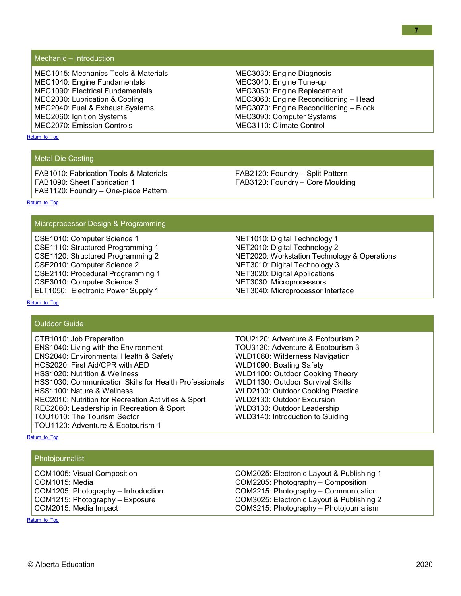Mechanic – Introduction

MEC1015: Mechanics Tools & Materials MEC1040: Engine Fundamentals MEC1090: Electrical Fundamentals MEC2030: Lubrication & Cooling MEC2040: Fuel & Exhaust Systems MEC2060: Ignition Systems MEC2070: Emission Controls

MEC3030: Engine Diagnosis MEC3040: Engine Tune-up MEC3050: Engine Replacement MEC3060: Engine Reconditioning – Head MEC3070: Engine Reconditioning – Block MEC3090: Computer Systems MEC3110: Climate Control

<span id="page-6-0"></span>[Return\\_to\\_Top](#page-0-0)

#### Metal Die Casting

FAB1010: Fabrication Tools & Materials FAB1090: Sheet Fabrication 1 FAB1120: Foundry – One-piece Pattern FAB2120: Foundry – Split Pattern FAB3120: Foundry – Core Moulding

[Return\\_to\\_Top](#page-0-0)

#### <span id="page-6-1"></span>Microprocessor Design & Programming

CSE1010: Computer Science 1 CSE1110: Structured Programming 1 CSE1120: Structured Programming 2 CSE2010: Computer Science 2 CSE2110: Procedural Programming 1 CSE3010: Computer Science 3 ELT1050: Electronic Power Supply 1

NET1010: Digital Technology 1 NET2010: Digital Technology 2 NET2020: Workstation Technology & Operations NET3010: Digital Technology 3 NET3020: Digital Applications NET3030: Microprocessors NET3040: Microprocessor Interface

<span id="page-6-2"></span>[Return\\_to\\_Top](#page-0-0)

#### Outdoor Guide

| CTR1010: Job Preparation                               | ТC |
|--------------------------------------------------------|----|
| <b>ENS1040: Living with the Environment</b>            | ТC |
| <b>ENS2040: Environmental Health &amp; Safety</b>      | W١ |
| HCS2020: First Aid/CPR with AED                        | W١ |
| HSS1020: Nutrition & Wellness                          | W١ |
| HSS1030: Communication Skills for Health Professionals | W١ |
| HSS1100: Nature & Wellness                             | WI |
| REC2010: Nutrition for Recreation Activities & Sport   | WI |
| REC2060: Leadership in Recreation & Sport              | WI |
| TOU1010: The Tourism Sector                            | WI |
| TOU1120: Adventure & Ecotourism 1                      |    |
|                                                        |    |

OU2120: Adventure & Ecotourism 2 OU3120: Adventure & Ecotourism 3 LD1060: Wilderness Navigation LD1090: Boating Safety LD1100: Outdoor Cooking Theory LD1130: Outdoor Survival Skills LD2100: Outdoor Cooking Practice LD2130: Outdoor Excursion LD3130: Outdoor Leadership LD3140: Introduction to Guiding

<span id="page-6-3"></span>[Return\\_to\\_Top](#page-0-0)

Photojournalist

<span id="page-6-4"></span>COM1005: Visual Composition COM1015: Media COM1205: Photography – Introduction COM1215: Photography – Exposure COM2015: Media Impact

COM2025: Electronic Layout & Publishing 1 COM2205: Photography – Composition COM2215: Photography – Communication COM3025: Electronic Layout & Publishing 2 COM3215: Photography – Photojournalism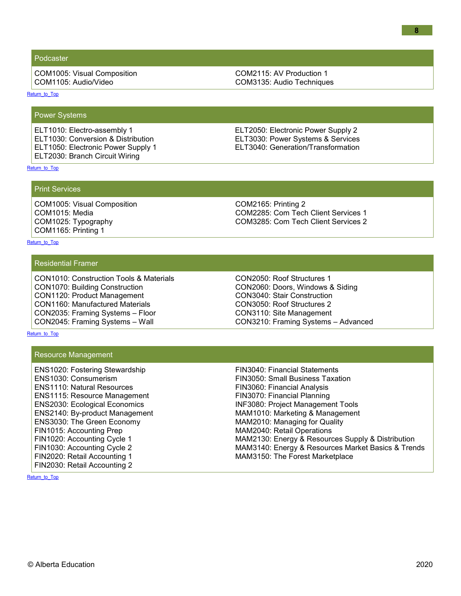#### Podcaster

COM1005: Visual Composition COM1105: Audio/Video

COM2115: AV Production 1 COM3135: Audio Techniques

<span id="page-7-0"></span>[Return\\_to\\_Top](#page-0-0)

Power Systems

ELT1010: Electro-assembly 1 ELT1030: Conversion & Distribution ELT1050: Electronic Power Supply 1 ELT2030: Branch Circuit Wiring

ELT2050: Electronic Power Supply 2 ELT3030: Power Systems & Services ELT3040: Generation/Transformation

<span id="page-7-1"></span>[Return\\_to\\_Top](#page-0-0)

Print Services

COM1005: Visual Composition COM1015: Media COM1025: Typography COM1165: Printing 1

COM2165: Printing 2 COM2285: Com Tech Client Services 1 COM3285: Com Tech Client Services 2

#### <span id="page-7-2"></span>[Return\\_to\\_Top](#page-0-0)

#### Residential Framer

CON1010: Construction Tools & Materials CON1070: Building Construction CON1120: Product Management CON1160: Manufactured Materials CON2035: Framing Systems – Floor CON2045: Framing Systems – Wall

CON2050: Roof Structures 1 CON2060: Doors, Windows & Siding CON3040: Stair Construction CON3050: Roof Structures 2 CON3110: Site Management CON3210: Framing Systems – Advanced

<span id="page-7-3"></span>[Return\\_to\\_Top](#page-0-0)

#### Resource Management

<span id="page-7-4"></span>ENS1020: Fostering Stewardship ENS1030: Consumerism ENS1110: Natural Resources ENS1115: Resource Management ENS2030: Ecological Economics ENS2140: By-product Management ENS3030: The Green Economy FIN1015: Accounting Prep FIN1020: Accounting Cycle 1 FIN1030: Accounting Cycle 2 FIN2020: Retail Accounting 1 FIN2030: Retail Accounting 2

FIN3040: Financial Statements FIN3050: Small Business Taxation FIN3060: Financial Analysis FIN3070: Financial Planning INF3080: Project Management Tools MAM1010: Marketing & Management MAM2010: Managing for Quality MAM2040: Retail Operations MAM2130: Energy & Resources Supply & Distribution MAM3140: Energy & Resources Market Basics & Trends MAM3150: The Forest Marketplace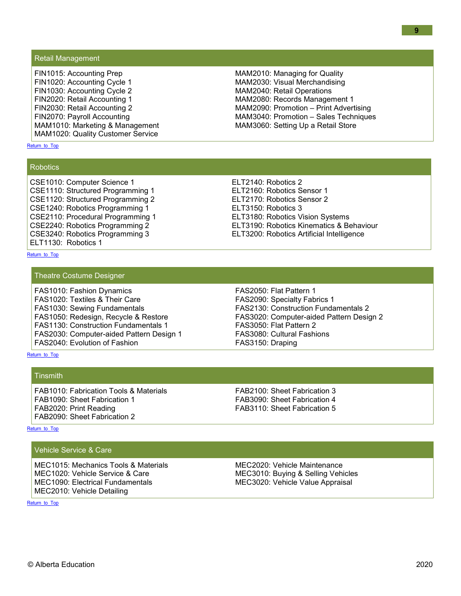#### Retail Management

FIN1015: Accounting Prep FIN1020: Accounting Cycle 1 FIN1030: Accounting Cycle 2 FIN2020: Retail Accounting 1 FIN2030: Retail Accounting 2 FIN2070: Payroll Accounting MAM1010: Marketing & Management MAM1020: Quality Customer Service

<span id="page-8-0"></span>[Return\\_to\\_Top](#page-0-0)

#### **Robotics**

CSE1010: Computer Science 1 CSE1110: Structured Programming 1 CSE1120: Structured Programming 2 CSE1240: Robotics Programming 1 CSE2110: Procedural Programming 1 CSE2240: Robotics Programming 2 CSE3240: Robotics Programming 3 ELT1130: Robotics 1

#### <span id="page-8-1"></span>[Return\\_to\\_Top](#page-0-0)

Theatre Costume Designer

FAS1010: Fashion Dynamics FAS1020: Textiles & Their Care FAS1030: Sewing Fundamentals FAS1050: Redesign, Recycle & Restore FAS1130: Construction Fundamentals 1 FAS2030: Computer-aided Pattern Design 1 FAS2040: Evolution of Fashion

<span id="page-8-2"></span>[Return\\_to\\_Top](#page-0-0)

**Tinsmith** 

FAB1010: Fabrication Tools & Materials FAB1090: Sheet Fabrication 1 FAB2020: Print Reading FAB2090: Sheet Fabrication 2

FAB2100: Sheet Fabrication 3 FAB3090: Sheet Fabrication 4 FAB3110: Sheet Fabrication 5

<span id="page-8-3"></span>[Return\\_to\\_Top](#page-0-0)

<span id="page-8-4"></span>[Return\\_to\\_Top](#page-0-0)

#### Vehicle Service & Care

MEC1015: Mechanics Tools & Materials MEC1020: Vehicle Service & Care MEC1090: Electrical Fundamentals MEC2010: Vehicle Detailing

MEC3020: Vehicle Value Appraisal

FAS2050: Flat Pattern 1 FAS2090: Specialty Fabrics 1 FAS2130: Construction Fundamentals 2 FAS3020: Computer-aided Pattern Design 2 FAS3050: Flat Pattern 2 FAS3080: Cultural Fashions FAS3150: Draping

ELT3150: Robotics 3 ELT3180: Robotics Vision Systems ELT3190: Robotics Kinematics & Behaviour ELT3200: Robotics Artificial Intelligence

MAM2010: Managing for Quality MAM2030: Visual Merchandising MAM2040: Retail Operations MAM2080: Records Management 1 MAM2090: Promotion – Print Advertising MAM3040: Promotion – Sales Techniques MAM3060: Setting Up a Retail Store

ELT2140: Robotics 2

ELT2160: Robotics Sensor 1 ELT2170: Robotics Sensor 2

## MEC2020: Vehicle Maintenance MEC3010: Buying & Selling Vehicles